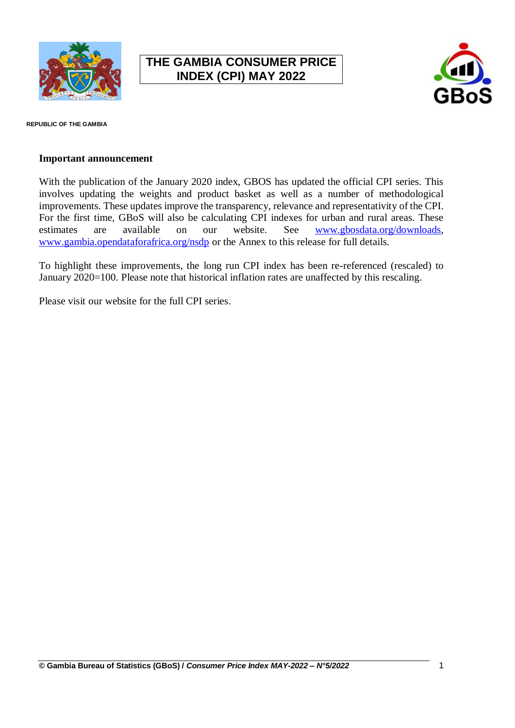

## **THE GAMBIA CONSUMER PRICE INDEX (CPI) MAY 2022**



**REPUBLIC OF THE GAMBIA**

## **Important announcement**

With the publication of the January 2020 index, GBOS has updated the official CPI series. This involves updating the weights and product basket as well as a number of methodological improvements. These updates improve the transparency, relevance and representativity of the CPI. For the first time, GBoS will also be calculating CPI indexes for urban and rural areas. These estimates are available on our website. See [www.gbosdata.org/downloads,](http://www.gbosdata.org/downloads) [www.gambia.opendataforafrica.org/nsdp](http://www.gambia.opendataforafrica.org/nsdp) or the Annex to this release for full details.

To highlight these improvements, the long run CPI index has been re-referenced (rescaled) to January 2020=100. Please note that historical inflation rates are unaffected by this rescaling.

Please visit our website for the full CPI series.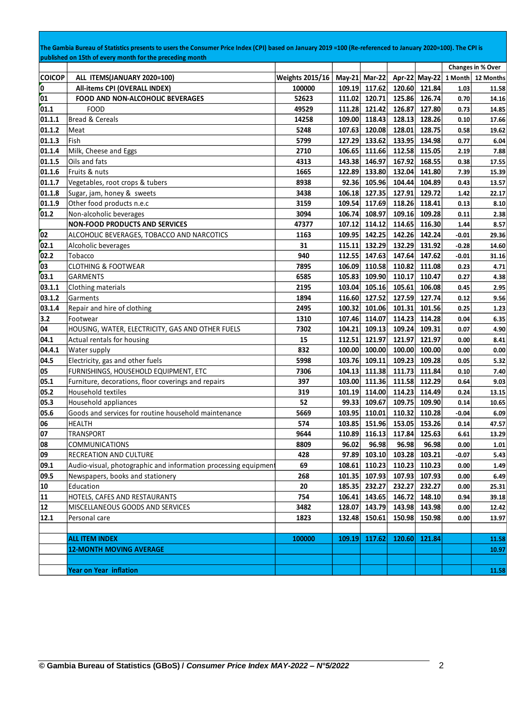|               | The Gambia Bureau of Statistics presents to users the Consumer Price Index (CPI) based on January 2019 =100 (Re-referenced to January 2020=100). The CPI is<br>published on 15th of every month for the preceding month |                 |        |               |                             |               |                       |                   |
|---------------|-------------------------------------------------------------------------------------------------------------------------------------------------------------------------------------------------------------------------|-----------------|--------|---------------|-----------------------------|---------------|-----------------------|-------------------|
|               |                                                                                                                                                                                                                         |                 |        |               |                             |               |                       | Changes in % Over |
| <b>COICOP</b> | ALL ITEMS(JANUARY 2020=100)                                                                                                                                                                                             | Weights 2015/16 |        | May-21 Mar-22 |                             |               | Apr-22 May-22 1 Month | 12 Months         |
| O.            | All-items CPI (OVERALL INDEX)                                                                                                                                                                                           | 100000          | 109.19 | 117.62        | 120.60                      | 121.84        | 1.03                  | 11.58             |
| 01            | <b>FOOD AND NON-ALCOHOLIC BEVERAGES</b>                                                                                                                                                                                 | 52623           | 111.02 | 120.71        | 125.86                      | 126.74        | 0.70                  | 14.16             |
| [01.1]        | <b>FOOD</b>                                                                                                                                                                                                             | 49529           | 111.28 | 121.42        | 126.87                      | 127.80        | 0.73                  | 14.85             |
| 01.1.1        | Bread & Cereals                                                                                                                                                                                                         | 14258           | 109.00 | 118.43        | 128.13                      | 128.26        | 0.10                  | 17.66             |
| 01.1.2        | Meat                                                                                                                                                                                                                    | 5248            | 107.63 | 120.08        | 128.01                      | 128.75        | 0.58                  | 19.62             |
| 01.1.3        | Fish                                                                                                                                                                                                                    | 5799            | 127.29 | 133.62        | 133.95                      | 134.98        | 0.77                  | 6.04              |
| 01.1.4        | Milk, Cheese and Eggs                                                                                                                                                                                                   | 2710            | 106.65 | 111.66        | 112.58                      | 115.05        | 2.19                  | 7.88              |
| 01.1.5        | Oils and fats                                                                                                                                                                                                           | 4313            | 143.38 | 146.97        | 167.92                      | 168.55        | 0.38                  | 17.55             |
| 01.1.6        | Fruits & nuts                                                                                                                                                                                                           | 1665            | 122.89 | 133.80        | 132.04                      | 141.80        | 7.39                  | 15.39             |
| 01.1.7        | Vegetables, root crops & tubers                                                                                                                                                                                         | 8938            | 92.36  | 105.96        | 104.44                      | 104.89        | 0.43                  | 13.57             |
| 01.1.8        | Sugar, jam, honey & sweets                                                                                                                                                                                              | 3438            | 106.18 | 127.35        | 127.91                      | 129.72        | 1.42                  | 22.17             |
| 01.1.9        | Other food products n.e.c                                                                                                                                                                                               | 3159            | 109.54 | 117.69        | 118.26                      | 118.41        | 0.13                  | 8.10              |
| 01.2          | Non-alcoholic beverages                                                                                                                                                                                                 | 3094            | 106.74 | 108.97        | 109.16                      | 109.28        | 0.11                  | 2.38              |
|               | <b>NON-FOOD PRODUCTS AND SERVICES</b>                                                                                                                                                                                   | 47377           | 107.12 | 114.12        | 114.65                      | 116.30        | 1.44                  | 8.57              |
| 02            | ALCOHOLIC BEVERAGES, TOBACCO AND NARCOTICS                                                                                                                                                                              | 1163            | 109.95 | 142.25        | 142.26                      | 142.24        | $-0.01$               | 29.36             |
| 02.1          | Alcoholic beverages                                                                                                                                                                                                     | 31              | 115.11 | 132.29        | 132.29                      | 131.92        | $-0.28$               | 14.60             |
| 02.2          | Tobacco                                                                                                                                                                                                                 | 940             | 112.55 | 147.63        | 147.64                      | 147.62        | $-0.01$               | 31.16             |
| 03            | <b>CLOTHING &amp; FOOTWEAR</b>                                                                                                                                                                                          | 7895            | 106.09 | 110.58        | 110.82                      | 111.08        | 0.23                  | 4.71              |
| 03.1          | GARMENTS                                                                                                                                                                                                                | 6585            | 105.83 | 109.90        | 110.17                      | 110.47        | 0.27                  | 4.38              |
| 03.1.1        | Clothing materials                                                                                                                                                                                                      | 2195            | 103.04 | 105.16        | 105.61                      | 106.08        | 0.45                  | 2.95              |
| 03.1.2        | Garments                                                                                                                                                                                                                | 1894            | 116.60 | 127.52        | 127.59                      | 127.74        | 0.12                  | 9.56              |
| 03.1.4        | Repair and hire of clothing                                                                                                                                                                                             | 2495            | 100.32 | 101.06        | 101.31                      | 101.56        | 0.25                  | 1.23              |
| 3.2           | Footwear                                                                                                                                                                                                                | 1310            | 107.46 | 114.07        | 114.23                      | 114.28        | 0.04                  | 6.35              |
| 04            | HOUSING, WATER, ELECTRICITY, GAS AND OTHER FUELS                                                                                                                                                                        | 7302            | 104.21 | 109.13        | 109.24                      | 109.31        | 0.07                  | 4.90              |
| 04.1          | Actual rentals for housing                                                                                                                                                                                              | 15              | 112.51 | 121.97        | 121.97                      | 121.97        | 0.00                  | 8.41              |
| 04.4.1        | <b>Water supply</b>                                                                                                                                                                                                     | 832             | 100.00 | 100.00        | 100.00                      | 100.00        | 0.00                  | 0.00              |
| 04.5          | Electricity, gas and other fuels                                                                                                                                                                                        | 5998            | 103.76 | 109.11        | 109.23                      | 109.28        | 0.05                  | 5.32              |
| 05            | FURNISHINGS, HOUSEHOLD EQUIPMENT, ETC                                                                                                                                                                                   | 7306            | 104.13 | 111.38        | 111.73                      | 111.84        | 0.10                  | 7.40              |
| 05.1          | Furniture, decorations, floor coverings and repairs                                                                                                                                                                     | 397             |        | 103.00 111.36 | 111.58                      | 112.29        | 0.64                  | 9.03              |
| 05.2          | Household textiles                                                                                                                                                                                                      | 319             |        | 101.19 114.00 | 114.23                      | 114.49        | 0.24                  | 13.15             |
| 05.3          | Household appliances                                                                                                                                                                                                    | 52              | 99.33  | 109.67        | 109.75                      | 109.90        | 0.14                  | 10.65             |
| 05.6          | Goods and services for routine household maintenance                                                                                                                                                                    | 5669            |        | 103.95 110.01 | 110.32                      | 110.28        | $-0.04$               | 6.09              |
| 06            | <b>HEALTH</b>                                                                                                                                                                                                           | 574             |        |               | 103.85 151.96 153.05 153.26 |               | 0.14                  | 47.57             |
| 07            | TRANSPORT                                                                                                                                                                                                               | 9644            |        |               | 110.89 116.13 117.84 125.63 |               | 6.61                  | 13.29             |
| 08            | <b>COMMUNICATIONS</b>                                                                                                                                                                                                   | 8809            | 96.02  | 96.98         | 96.98                       | 96.98         | 0.00                  | 1.01              |
| 09            | RECREATION AND CULTURE                                                                                                                                                                                                  | 428             |        | 97.89 103.10  |                             | 103.28 103.21 | $-0.07$               | 5.43              |
| 09.1          | Audio-visual, photographic and information processing equipment                                                                                                                                                         | 69              |        | 108.61 110.23 |                             | 110.23 110.23 | 0.00                  | 1.49              |
| 09.5          | Newspapers, books and stationery                                                                                                                                                                                        | 268             |        | 101.35 107.93 |                             | 107.93 107.93 | 0.00                  | 6.49              |
| 10            | Education                                                                                                                                                                                                               | 20              | 185.35 | 232.27        |                             | 232.27 232.27 | 0.00                  | 25.31             |
| 11            | HOTELS, CAFES AND RESTAURANTS                                                                                                                                                                                           | 754             |        | 106.41 143.65 |                             | 146.72 148.10 | 0.94                  | 39.18             |
| 12            | MISCELLANEOUS GOODS AND SERVICES                                                                                                                                                                                        | 3482            |        | 128.07 143.79 |                             | 143.98 143.98 | 0.00                  | 12.42             |
| 12.1          | Personal care                                                                                                                                                                                                           | 1823            |        | 132.48 150.61 |                             | 150.98 150.98 | 0.00                  | 13.97             |
|               |                                                                                                                                                                                                                         |                 |        |               |                             |               |                       |                   |
|               | <b>ALL ITEM INDEX</b>                                                                                                                                                                                                   | 100000          |        | 109.19 117.62 |                             | 120.60 121.84 |                       | 11.58             |
|               | <b>12-MONTH MOVING AVERAGE</b>                                                                                                                                                                                          |                 |        |               |                             |               |                       | 10.97             |
|               |                                                                                                                                                                                                                         |                 |        |               |                             |               |                       |                   |
|               | <b>Year on Year inflation</b>                                                                                                                                                                                           |                 |        |               |                             |               |                       | 11.58             |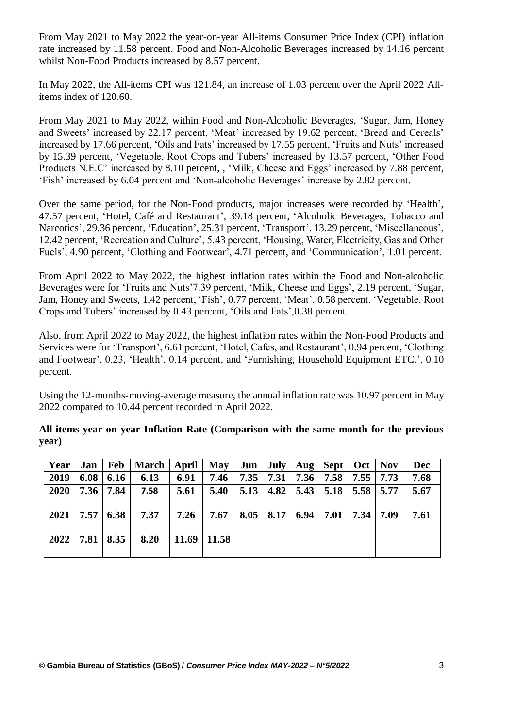From May 2021 to May 2022 the year-on-year All-items Consumer Price Index (CPI) inflation rate increased by 11.58 percent. Food and Non-Alcoholic Beverages increased by 14.16 percent whilst Non-Food Products increased by 8.57 percent.

In May 2022, the All-items CPI was 121.84, an increase of 1.03 percent over the April 2022 Allitems index of 120.60.

From May 2021 to May 2022, within Food and Non-Alcoholic Beverages, 'Sugar, Jam, Honey and Sweets' increased by 22.17 percent, 'Meat' increased by 19.62 percent, 'Bread and Cereals' increased by 17.66 percent, 'Oils and Fats' increased by 17.55 percent, 'Fruits and Nuts' increased by 15.39 percent, 'Vegetable, Root Crops and Tubers' increased by 13.57 percent, 'Other Food Products N.E.C' increased by 8.10 percent, , 'Milk, Cheese and Eggs' increased by 7.88 percent, 'Fish' increased by 6.04 percent and 'Non-alcoholic Beverages' increase by 2.82 percent.

Over the same period, for the Non-Food products, major increases were recorded by 'Health', 47.57 percent, 'Hotel, Café and Restaurant', 39.18 percent, 'Alcoholic Beverages, Tobacco and Narcotics', 29.36 percent, 'Education', 25.31 percent, 'Transport', 13.29 percent, 'Miscellaneous', 12.42 percent, 'Recreation and Culture', 5.43 percent, 'Housing, Water, Electricity, Gas and Other Fuels', 4.90 percent, 'Clothing and Footwear', 4.71 percent, and 'Communication', 1.01 percent.

From April 2022 to May 2022, the highest inflation rates within the Food and Non-alcoholic Beverages were for 'Fruits and Nuts'7.39 percent, 'Milk, Cheese and Eggs', 2.19 percent, 'Sugar, Jam, Honey and Sweets, 1.42 percent, 'Fish', 0.77 percent, 'Meat', 0.58 percent, 'Vegetable, Root Crops and Tubers' increased by 0.43 percent, 'Oils and Fats',0.38 percent.

Also, from April 2022 to May 2022, the highest inflation rates within the Non-Food Products and Services were for 'Transport', 6.61 percent, 'Hotel, Cafes, and Restaurant', 0.94 percent, 'Clothing and Footwear', 0.23, 'Health', 0.14 percent, and 'Furnishing, Household Equipment ETC.', 0.10 percent.

Using the 12-months-moving-average measure, the annual inflation rate was 10.97 percent in May 2022 compared to 10.44 percent recorded in April 2022.

**All-items year on year Inflation Rate (Comparison with the same month for the previous year)**

| Year | Jan  |      | Feb   March   April |                 | May  |      |      |                       | $Jun \mid July \mid Aug \mid Sept \mid Oct \mid Nov$ |  | <b>Dec</b> |
|------|------|------|---------------------|-----------------|------|------|------|-----------------------|------------------------------------------------------|--|------------|
| 2019 | 6.08 | 6.16 | 6.13                | 6.91            | 7.46 | 7.35 | 7.31 | 7.36                  | $7.58$   $7.55$   $7.73$                             |  | 7.68       |
| 2020 | 7.36 | 7.84 | 7.58                | 5.61            | 5.40 | 5.13 |      |                       | $4.82$   5.43   5.18   5.58   5.77                   |  | 5.67       |
| 2021 | 7.57 | 6.38 | 7.37                | 7.26            | 7.67 | 8.05 |      | $8.17 \mid 6.94 \mid$ | $7.01$   $7.34$   $7.09$                             |  | 7.61       |
| 2022 | 7.81 | 8.35 | 8.20                | $11.69$   11.58 |      |      |      |                       |                                                      |  |            |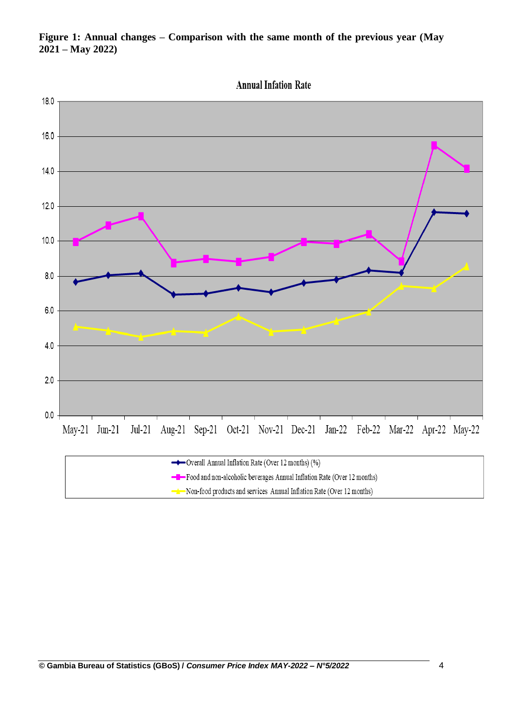

 $\rightarrow$  Non-food products and services Annual Inflation Rate (Over 12 months)

## **Figure 1: Annual changes – Comparison with the same month of the previous year (May 2021 – May 2022)**

**© Gambia Bureau of Statistics (GBoS) /** *Consumer Price Index MAY-2022 – N°5/2022* 4